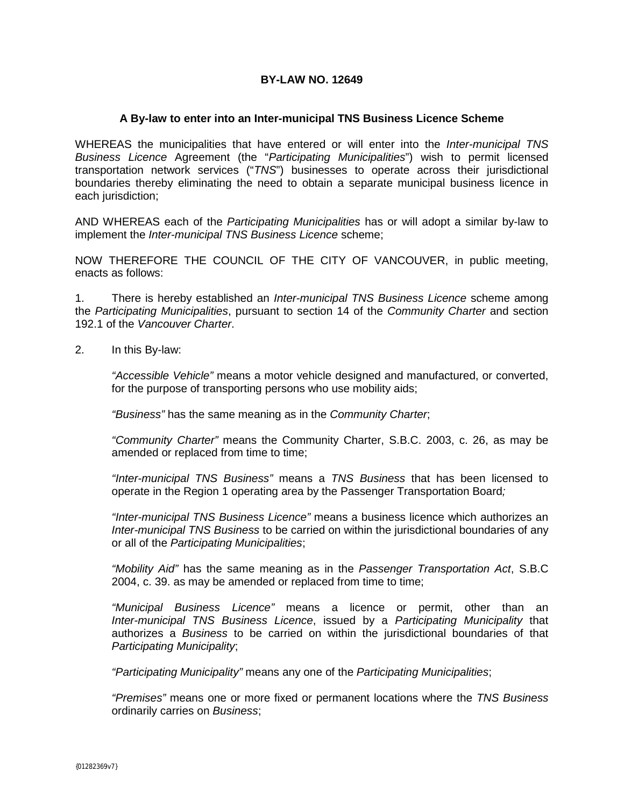## **BY-LAW NO. 12649**

## **A By-law to enter into an Inter-municipal TNS Business Licence Scheme**

WHEREAS the municipalities that have entered or will enter into the *Inter-municipal TNS Business Licence* Agreement (the "*Participating Municipalities*") wish to permit licensed transportation network services ("*TNS*") businesses to operate across their jurisdictional boundaries thereby eliminating the need to obtain a separate municipal business licence in each jurisdiction;

AND WHEREAS each of the *Participating Municipalities* has or will adopt a similar by-law to implement the *Inter-municipal TNS Business Licence* scheme;

NOW THEREFORE THE COUNCIL OF THE CITY OF VANCOUVER, in public meeting, enacts as follows:

1. There is hereby established an *Inter-municipal TNS Business Licence* scheme among the *Participating Municipalities*, pursuant to section 14 of the *Community Charter* and section 192.1 of the *Vancouver Charter*.

2. In this By-law:

*"Accessible Vehicle"* means a motor vehicle designed and manufactured, or converted, for the purpose of transporting persons who use mobility aids;

*"Business"* has the same meaning as in the *Community Charter*;

*"Community Charter"* means the Community Charter, S.B.C. 2003, c. 26, as may be amended or replaced from time to time;

*"Inter-municipal TNS Business"* means a *TNS Business* that has been licensed to operate in the Region 1 operating area by the Passenger Transportation Board*;*

*"Inter-municipal TNS Business Licence"* means a business licence which authorizes an *Inter-municipal TNS Business* to be carried on within the jurisdictional boundaries of any or all of the *Participating Municipalities*;

*"Mobility Aid"* has the same meaning as in the *Passenger Transportation Act*, S.B.C 2004, c. 39. as may be amended or replaced from time to time;

*"Municipal Business Licence"* means a licence or permit, other than an *Inter-municipal TNS Business Licence*, issued by a *Participating Municipality* that authorizes a *Business* to be carried on within the jurisdictional boundaries of that *Participating Municipality*;

*"Participating Municipality"* means any one of the *Participating Municipalities*;

*"Premises"* means one or more fixed or permanent locations where the *TNS Business* ordinarily carries on *Business*;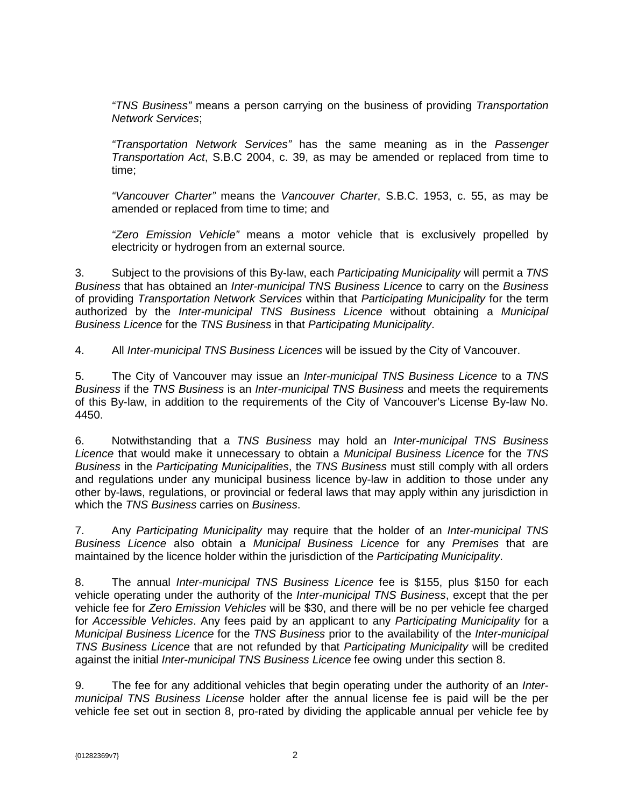*"TNS Business"* means a person carrying on the business of providing *Transportation Network Services*;

*"Transportation Network Services"* has the same meaning as in the *Passenger Transportation Act*, S.B.C 2004, c. 39, as may be amended or replaced from time to time;

*"Vancouver Charter"* means the *Vancouver Charter*, S.B.C. 1953, c. 55, as may be amended or replaced from time to time; and

*"Zero Emission Vehicle"* means a motor vehicle that is exclusively propelled by electricity or hydrogen from an external source.

3. Subject to the provisions of this By-law, each *Participating Municipality* will permit a *TNS Business* that has obtained an *Inter-municipal TNS Business Licence* to carry on the *Business* of providing *Transportation Network Services* within that *Participating Municipality* for the term authorized by the *Inter-municipal TNS Business Licence* without obtaining a *Municipal Business Licence* for the *TNS Business* in that *Participating Municipality*.

4. All *Inter-municipal TNS Business Licences* will be issued by the City of Vancouver.

5. The City of Vancouver may issue an *Inter-municipal TNS Business Licence* to a *TNS Business* if the *TNS Business* is an *Inter-municipal TNS Business* and meets the requirements of this By-law, in addition to the requirements of the City of Vancouver's License By-law No. 4450.

6. Notwithstanding that a *TNS Business* may hold an *Inter-municipal TNS Business Licence* that would make it unnecessary to obtain a *Municipal Business Licence* for the *TNS Business* in the *Participating Municipalities*, the *TNS Business* must still comply with all orders and regulations under any municipal business licence by-law in addition to those under any other by-laws, regulations, or provincial or federal laws that may apply within any jurisdiction in which the *TNS Business* carries on *Business*.

7. Any *Participating Municipality* may require that the holder of an *Inter-municipal TNS Business Licence* also obtain a *Municipal Business Licence* for any *Premises* that are maintained by the licence holder within the jurisdiction of the *Participating Municipality*.

8. The annual *Inter-municipal TNS Business Licence* fee is \$155, plus \$150 for each vehicle operating under the authority of the *Inter-municipal TNS Business*, except that the per vehicle fee for *Zero Emission Vehicles* will be \$30, and there will be no per vehicle fee charged for *Accessible Vehicles*. Any fees paid by an applicant to any *Participating Municipality* for a *Municipal Business Licence* for the *TNS Business* prior to the availability of the *Inter-municipal TNS Business Licence* that are not refunded by that *Participating Municipality* will be credited against the initial *Inter-municipal TNS Business Licence* fee owing under this section 8.

9. The fee for any additional vehicles that begin operating under the authority of an *Intermunicipal TNS Business License* holder after the annual license fee is paid will be the per vehicle fee set out in section 8, pro-rated by dividing the applicable annual per vehicle fee by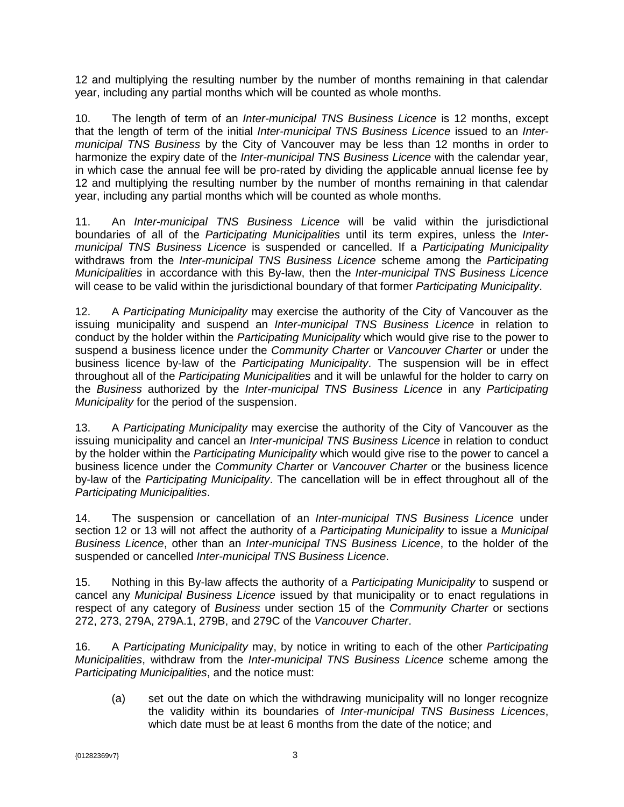12 and multiplying the resulting number by the number of months remaining in that calendar year, including any partial months which will be counted as whole months.

10. The length of term of an *Inter-municipal TNS Business Licence* is 12 months, except that the length of term of the initial *Inter-municipal TNS Business Licence* issued to an *Intermunicipal TNS Business* by the City of Vancouver may be less than 12 months in order to harmonize the expiry date of the *Inter-municipal TNS Business Licence* with the calendar year, in which case the annual fee will be pro-rated by dividing the applicable annual license fee by 12 and multiplying the resulting number by the number of months remaining in that calendar year, including any partial months which will be counted as whole months.

11. An *Inter-municipal TNS Business Licence* will be valid within the jurisdictional boundaries of all of the *Participating Municipalities* until its term expires, unless the *Intermunicipal TNS Business Licence* is suspended or cancelled. If a *Participating Municipality* withdraws from the *Inter-municipal TNS Business Licence* scheme among the *Participating Municipalities* in accordance with this By-law, then the *Inter-municipal TNS Business Licence*  will cease to be valid within the jurisdictional boundary of that former *Participating Municipality*.

12. A *Participating Municipality* may exercise the authority of the City of Vancouver as the issuing municipality and suspend an *Inter-municipal TNS Business Licence* in relation to conduct by the holder within the *Participating Municipality* which would give rise to the power to suspend a business licence under the *Community Charter* or *Vancouver Charter* or under the business licence by-law of the *Participating Municipality*. The suspension will be in effect throughout all of the *Participating Municipalities* and it will be unlawful for the holder to carry on the *Business* authorized by the *Inter-municipal TNS Business Licence* in any *Participating Municipality* for the period of the suspension.

13. A *Participating Municipality* may exercise the authority of the City of Vancouver as the issuing municipality and cancel an *Inter-municipal TNS Business Licence* in relation to conduct by the holder within the *Participating Municipality* which would give rise to the power to cancel a business licence under the *Community Charter* or *Vancouver Charter* or the business licence by-law of the *Participating Municipality*. The cancellation will be in effect throughout all of the *Participating Municipalities*.

14. The suspension or cancellation of an *Inter-municipal TNS Business Licence* under section 12 or 13 will not affect the authority of a *Participating Municipality* to issue a *Municipal Business Licence*, other than an *Inter-municipal TNS Business Licence*, to the holder of the suspended or cancelled *Inter-municipal TNS Business Licence*.

15. Nothing in this By-law affects the authority of a *Participating Municipality* to suspend or cancel any *Municipal Business Licence* issued by that municipality or to enact regulations in respect of any category of *Business* under section 15 of the *Community Charter* or sections 272, 273, 279A, 279A.1, 279B, and 279C of the *Vancouver Charter*.

16. A *Participating Municipality* may, by notice in writing to each of the other *Participating Municipalities*, withdraw from the *Inter-municipal TNS Business Licence* scheme among the *Participating Municipalities*, and the notice must:

(a) set out the date on which the withdrawing municipality will no longer recognize the validity within its boundaries of *Inter-municipal TNS Business Licences*, which date must be at least 6 months from the date of the notice; and